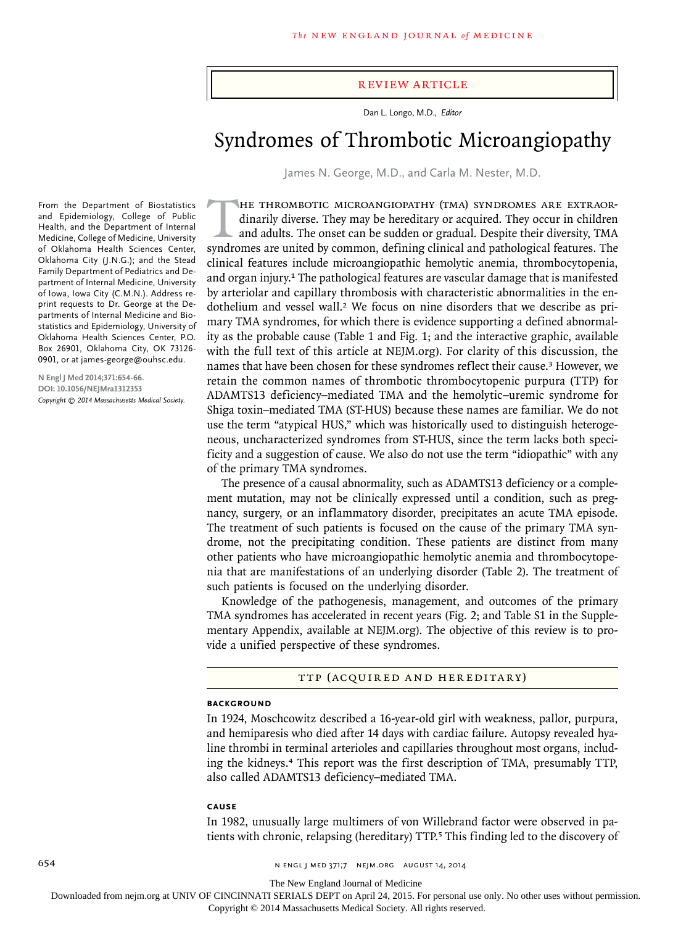#### review article

Dan L. Longo, M.D., *Editor*

# Syndromes of Thrombotic Microangiopathy

James N. George, M.D., and Carla M. Nester, M.D.

From the Department of Biostatistics and Epidemiology, College of Public Health, and the Department of Internal Medicine, College of Medicine, University of Oklahoma Health Sciences Center, Oklahoma City (J.N.G.); and the Stead Family Department of Pediatrics and Department of Internal Medicine, University of Iowa, Iowa City (C.M.N.). Address reprint requests to Dr. George at the Departments of Internal Medicine and Biostatistics and Epidemiology, University of Oklahoma Health Sciences Center, P.O. Box 26901, Oklahoma City, OK 73126- 0901, or at james-george@ouhsc.edu.

**N Engl J Med 2014;371:654-66. DOI: 10.1056/NEJMra1312353** *Copyright © 2014 Massachusetts Medical Society.*

The thrombotic microangiopathy (TMA) syndromes are extraordinarily diverse. They may be hereditary or acquired. They occur in children and adults. The onset can be sudden or gradual. Despite their diversity, TMA syndromes are united by common, defining clinical and pathological features. The clinical features include microangiopathic hemolytic anemia, thrombocytopenia, and organ injury.1 The pathological features are vascular damage that is manifested by arteriolar and capillary thrombosis with characteristic abnormalities in the endothelium and vessel wall.<sup>2</sup> We focus on nine disorders that we describe as primary TMA syndromes, for which there is evidence supporting a defined abnormality as the probable cause (Table 1 and Fig. 1; and the interactive graphic, available with the full text of this article at NEJM.org). For clarity of this discussion, the names that have been chosen for these syndromes reflect their cause.3 However, we retain the common names of thrombotic thrombocytopenic purpura (TTP) for ADAMTS13 deficiency–mediated TMA and the hemolytic–uremic syndrome for Shiga toxin–mediated TMA (ST-HUS) because these names are familiar. We do not use the term "atypical HUS," which was historically used to distinguish heterogeneous, uncharacterized syndromes from ST-HUS, since the term lacks both specificity and a suggestion of cause. We also do not use the term "idiopathic" with any of the primary TMA syndromes.

The presence of a causal abnormality, such as ADAMTS13 deficiency or a complement mutation, may not be clinically expressed until a condition, such as pregnancy, surgery, or an inflammatory disorder, precipitates an acute TMA episode. The treatment of such patients is focused on the cause of the primary TMA syndrome, not the precipitating condition. These patients are distinct from many other patients who have microangiopathic hemolytic anemia and thrombocytopenia that are manifestations of an underlying disorder (Table 2). The treatment of such patients is focused on the underlying disorder.

Knowledge of the pathogenesis, management, and outcomes of the primary TMA syndromes has accelerated in recent years (Fig. 2; and Table S1 in the Supplementary Appendix, available at NEJM.org). The objective of this review is to provide a unified perspective of these syndromes.

TTP (Acquired and Hereditary)

#### **BACKGROUND**

In 1924, Moschcowitz described a 16-year-old girl with weakness, pallor, purpura, and hemiparesis who died after 14 days with cardiac failure. Autopsy revealed hyaline thrombi in terminal arterioles and capillaries throughout most organs, including the kidneys.<sup>4</sup> This report was the first description of TMA, presumably TTP, also called ADAMTS13 deficiency–mediated TMA.

#### **Cause**

In 1982, unusually large multimers of von Willebrand factor were observed in patients with chronic, relapsing (hereditary) TTP.<sup>5</sup> This finding led to the discovery of

654 n engl j med 371;7 nejm.org august 14, 2014

The New England Journal of Medicine

Downloaded from nejm.org at UNIV OF CINCINNATI SERIALS DEPT on April 24, 2015. For personal use only. No other uses without permission.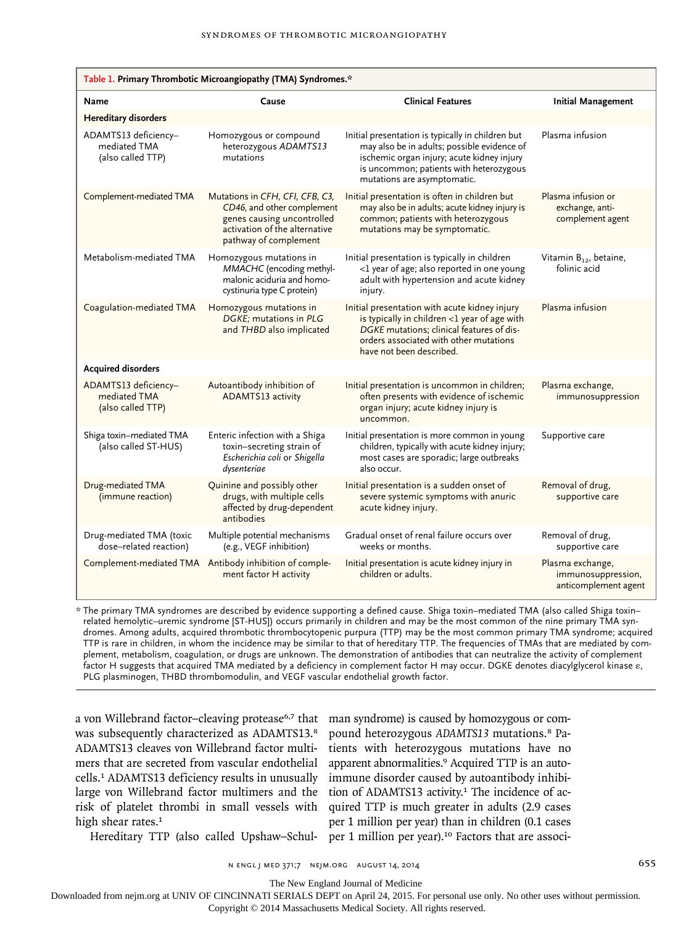| Table 1. Primary Thrombotic Microangiopathy (TMA) Syndromes.* |                                                                                                                                                       |                                                                                                                                                                                                                          |                                                                |
|---------------------------------------------------------------|-------------------------------------------------------------------------------------------------------------------------------------------------------|--------------------------------------------------------------------------------------------------------------------------------------------------------------------------------------------------------------------------|----------------------------------------------------------------|
| Name                                                          | Cause                                                                                                                                                 | <b>Clinical Features</b>                                                                                                                                                                                                 | <b>Initial Management</b>                                      |
| <b>Hereditary disorders</b>                                   |                                                                                                                                                       |                                                                                                                                                                                                                          |                                                                |
| ADAMTS13 deficiency-<br>mediated TMA<br>(also called TTP)     | Homozygous or compound<br>heterozygous ADAMTS13<br>mutations                                                                                          | Initial presentation is typically in children but<br>may also be in adults; possible evidence of<br>ischemic organ injury; acute kidney injury<br>is uncommon; patients with heterozygous<br>mutations are asymptomatic. | Plasma infusion                                                |
| Complement-mediated TMA                                       | Mutations in CFH, CFI, CFB, C3,<br>CD46, and other complement<br>genes causing uncontrolled<br>activation of the alternative<br>pathway of complement | Initial presentation is often in children but<br>may also be in adults; acute kidney injury is<br>common; patients with heterozygous<br>mutations may be symptomatic.                                                    | Plasma infusion or<br>exchange, anti-<br>complement agent      |
| Metabolism-mediated TMA                                       | Homozygous mutations in<br>MMACHC (encoding methyl-<br>malonic aciduria and homo-<br>cystinuria type C protein)                                       | Initial presentation is typically in children<br><1 year of age; also reported in one young<br>adult with hypertension and acute kidney<br>injury.                                                                       | Vitamin B <sub>12</sub> , betaine,<br>folinic acid             |
| Coagulation-mediated TMA                                      | Homozygous mutations in<br>DGKE: mutations in PLG<br>and THBD also implicated                                                                         | Initial presentation with acute kidney injury<br>is typically in children <1 year of age with<br>DGKE mutations; clinical features of dis-<br>orders associated with other mutations<br>have not been described.         | Plasma infusion                                                |
| <b>Acquired disorders</b>                                     |                                                                                                                                                       |                                                                                                                                                                                                                          |                                                                |
| ADAMTS13 deficiency-<br>mediated TMA<br>(also called TTP)     | Autoantibody inhibition of<br>ADAMTS13 activity                                                                                                       | Initial presentation is uncommon in children;<br>often presents with evidence of ischemic<br>organ injury; acute kidney injury is<br>uncommon.                                                                           | Plasma exchange,<br>immunosuppression                          |
| Shiga toxin-mediated TMA<br>(also called ST-HUS)              | Enteric infection with a Shiga<br>toxin-secreting strain of<br>Escherichia coli or Shigella<br>dysenteriae                                            | Initial presentation is more common in young<br>children, typically with acute kidney injury;<br>most cases are sporadic; large outbreaks<br>also occur.                                                                 | Supportive care                                                |
| Drug-mediated TMA<br>(immune reaction)                        | Quinine and possibly other<br>drugs, with multiple cells<br>affected by drug-dependent<br>antibodies                                                  | Initial presentation is a sudden onset of<br>severe systemic symptoms with anuric<br>acute kidney injury.                                                                                                                | Removal of drug,<br>supportive care                            |
| Drug-mediated TMA (toxic<br>dose-related reaction)            | Multiple potential mechanisms<br>(e.g., VEGF inhibition)                                                                                              | Gradual onset of renal failure occurs over<br>weeks or months.                                                                                                                                                           | Removal of drug,<br>supportive care                            |
| Complement-mediated TMA                                       | Antibody inhibition of comple-<br>ment factor H activity                                                                                              | Initial presentation is acute kidney injury in<br>children or adults.                                                                                                                                                    | Plasma exchange,<br>immunosuppression,<br>anticomplement agent |

\* The primary TMA syndromes are described by evidence supporting a defined cause. Shiga toxin–mediated TMA (also called Shiga toxin– related hemolytic–uremic syndrome [ST-HUS]) occurs primarily in children and may be the most common of the nine primary TMA syndromes. Among adults, acquired thrombotic thrombocytopenic purpura (TTP) may be the most common primary TMA syndrome; acquired TTP is rare in children, in whom the incidence may be similar to that of hereditary TTP. The frequencies of TMAs that are mediated by complement, metabolism, coagulation, or drugs are unknown. The demonstration of antibodies that can neutralize the activity of complement factor H suggests that acquired TMA mediated by a deficiency in complement factor H may occur. DGKE denotes diacylglycerol kinase ε, PLG plasminogen, THBD thrombomodulin, and VEGF vascular endothelial growth factor.

a von Willebrand factor–cleaving protease<sup>6,7</sup> that was subsequently characterized as ADAMTS13.8 ADAMTS13 cleaves von Willebrand factor multimers that are secreted from vascular endothelial cells.<sup>1</sup> ADAMTS13 deficiency results in unusually large von Willebrand factor multimers and the risk of platelet thrombi in small vessels with high shear rates.<sup>1</sup>

man syndrome) is caused by homozygous or compound heterozygous *ADAMTS13* mutations.8 Patients with heterozygous mutations have no apparent abnormalities.9 Acquired TTP is an autoimmune disorder caused by autoantibody inhibition of ADAMTS13 activity.<sup>1</sup> The incidence of acquired TTP is much greater in adults (2.9 cases per 1 million per year) than in children (0.1 cases per 1 million per year).<sup>10</sup> Factors that are associ-

Hereditary TTP (also called Upshaw–Schul-

n engl j med 371;7 nejm.org august 14, 2014 655

The New England Journal of Medicine

Downloaded from nejm.org at UNIV OF CINCINNATI SERIALS DEPT on April 24, 2015. For personal use only. No other uses without permission.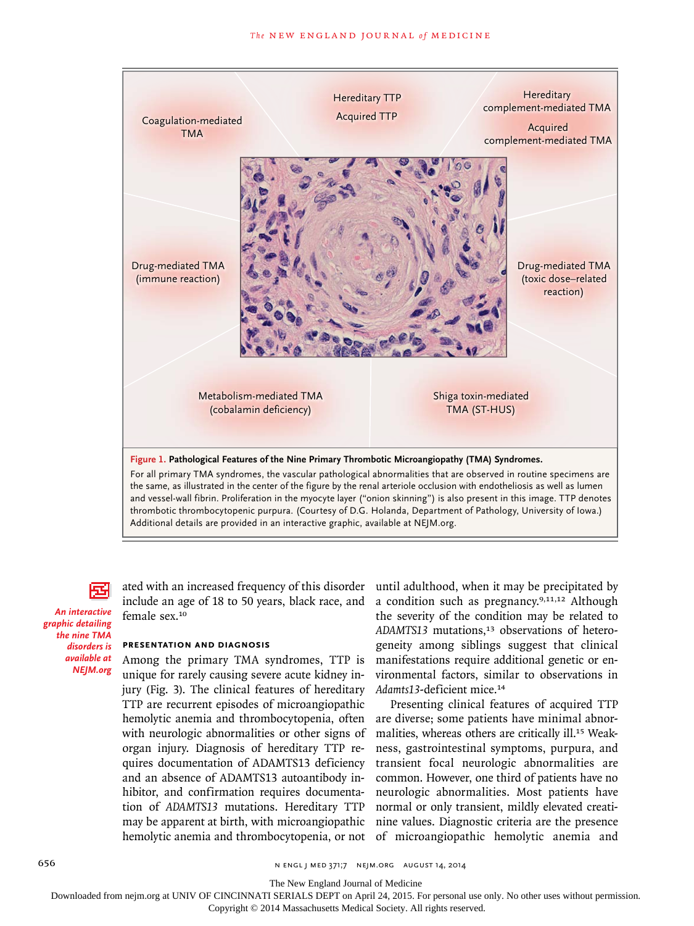

*An interactive graphic detailing the nine TMA disorders is available at NEJM.org*

ated with an increased frequency of this disorder include an age of 18 to 50 years, black race, and female sex.<sup>10</sup>

#### **Presentation and Diagnosis**

Among the primary TMA syndromes, TTP is unique for rarely causing severe acute kidney injury (Fig. 3). The clinical features of hereditary TTP are recurrent episodes of microangiopathic hemolytic anemia and thrombocytopenia, often with neurologic abnormalities or other signs of organ injury. Diagnosis of hereditary TTP requires documentation of ADAMTS13 deficiency and an absence of ADAMTS13 autoantibody inhibitor, and confirmation requires documentation of *ADAMTS13* mutations. Hereditary TTP may be apparent at birth, with microangiopathic

until adulthood, when it may be precipitated by a condition such as pregnancy.<sup>9,11,12</sup> Although the severity of the condition may be related to ADAMTS13 mutations,<sup>13</sup> observations of heterogeneity among siblings suggest that clinical manifestations require additional genetic or environmental factors, similar to observations in *Adamts13*-deficient mice.<sup>14</sup>

hemolytic anemia and thrombocytopenia, or not of microangiopathic hemolytic anemia and Presenting clinical features of acquired TTP are diverse; some patients have minimal abnormalities, whereas others are critically ill.<sup>15</sup> Weakness, gastrointestinal symptoms, purpura, and transient focal neurologic abnormalities are common. However, one third of patients have no neurologic abnormalities. Most patients have normal or only transient, mildly elevated creatinine values. Diagnostic criteria are the presence

The New England Journal of Medicine

Downloaded from nejm.org at UNIV OF CINCINNATI SERIALS DEPT on April 24, 2015. For personal use only. No other uses without permission.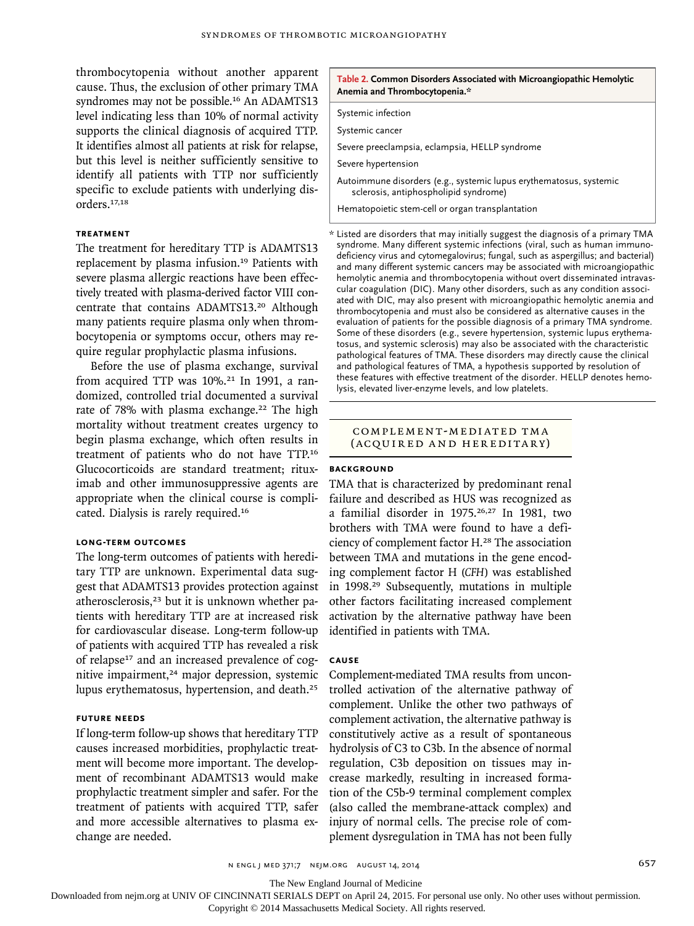thrombocytopenia without another apparent cause. Thus, the exclusion of other primary TMA syndromes may not be possible.<sup>16</sup> An ADAMTS13 level indicating less than 10% of normal activity supports the clinical diagnosis of acquired TTP. It identifies almost all patients at risk for relapse, but this level is neither sufficiently sensitive to identify all patients with TTP nor sufficiently specific to exclude patients with underlying disorders.17,18

## **Treatment**

The treatment for hereditary TTP is ADAMTS13 replacement by plasma infusion.<sup>19</sup> Patients with severe plasma allergic reactions have been effectively treated with plasma-derived factor VIII concentrate that contains ADAMTS13.<sup>20</sup> Although many patients require plasma only when thrombocytopenia or symptoms occur, others may require regular prophylactic plasma infusions.

Before the use of plasma exchange, survival from acquired TTP was  $10\%$ .<sup>21</sup> In 1991, a randomized, controlled trial documented a survival rate of 78% with plasma exchange.<sup>22</sup> The high mortality without treatment creates urgency to begin plasma exchange, which often results in treatment of patients who do not have TTP.<sup>16</sup> Glucocorticoids are standard treatment; rituximab and other immunosuppressive agents are appropriate when the clinical course is complicated. Dialysis is rarely required.<sup>16</sup>

# **Long-Term Outcomes**

The long-term outcomes of patients with hereditary TTP are unknown. Experimental data suggest that ADAMTS13 provides protection against atherosclerosis,<sup>23</sup> but it is unknown whether patients with hereditary TTP are at increased risk for cardiovascular disease. Long-term follow-up of patients with acquired TTP has revealed a risk of relapse17 and an increased prevalence of cognitive impairment,<sup>24</sup> major depression, systemic lupus erythematosus, hypertension, and death.<sup>25</sup>

## **Future Needs**

If long-term follow-up shows that hereditary TTP causes increased morbidities, prophylactic treatment will become more important. The development of recombinant ADAMTS13 would make prophylactic treatment simpler and safer. For the treatment of patients with acquired TTP, safer and more accessible alternatives to plasma exchange are needed.

#### **Table 2. Common Disorders Associated with Microangiopathic Hemolytic Anemia and Thrombocytopenia.\***

Systemic infection

Systemic cancer

Severe preeclampsia, eclampsia, HELLP syndrome

Severe hypertension

Autoimmune disorders (e.g., systemic lupus erythematosus, systemic sclerosis, antiphospholipid syndrome)

Hematopoietic stem-cell or organ transplantation

\* Listed are disorders that may initially suggest the diagnosis of a primary TMA syndrome. Many different systemic infections (viral, such as human immunodeficiency virus and cytomegalovirus; fungal, such as aspergillus; and bacterial) and many different systemic cancers may be associated with microangiopathic hemolytic anemia and thrombocytopenia without overt disseminated intravascular coagulation (DIC). Many other disorders, such as any condition associated with DIC, may also present with microangiopathic hemolytic anemia and thrombocytopenia and must also be considered as alternative causes in the evaluation of patients for the possible diagnosis of a primary TMA syndrome. Some of these disorders (e.g., severe hypertension, systemic lupus erythematosus, and systemic sclerosis) may also be associated with the characteristic pathological features of TMA. These disorders may directly cause the clinical and pathological features of TMA, a hypothesis supported by resolution of these features with effective treatment of the disorder. HELLP denotes hemolysis, elevated liver-enzyme levels, and low platelets.

#### Complement-Medi ated TM A (Acquired and Hereditary)

## **BACKGROUND**

TMA that is characterized by predominant renal failure and described as HUS was recognized as a familial disorder in 1975.26,27 In 1981, two brothers with TMA were found to have a deficiency of complement factor H.<sup>28</sup> The association between TMA and mutations in the gene encoding complement factor H (*CFH*) was established in 1998.<sup>29</sup> Subsequently, mutations in multiple other factors facilitating increased complement activation by the alternative pathway have been identified in patients with TMA.

#### **Cause**

Complement-mediated TMA results from uncontrolled activation of the alternative pathway of complement. Unlike the other two pathways of complement activation, the alternative pathway is constitutively active as a result of spontaneous hydrolysis of C3 to C3b. In the absence of normal regulation, C3b deposition on tissues may increase markedly, resulting in increased formation of the C5b-9 terminal complement complex (also called the membrane-attack complex) and injury of normal cells. The precise role of complement dysregulation in TMA has not been fully

n engl j med 371;7 nejm.org august 14, 2014 657

The New England Journal of Medicine

Downloaded from nejm.org at UNIV OF CINCINNATI SERIALS DEPT on April 24, 2015. For personal use only. No other uses without permission.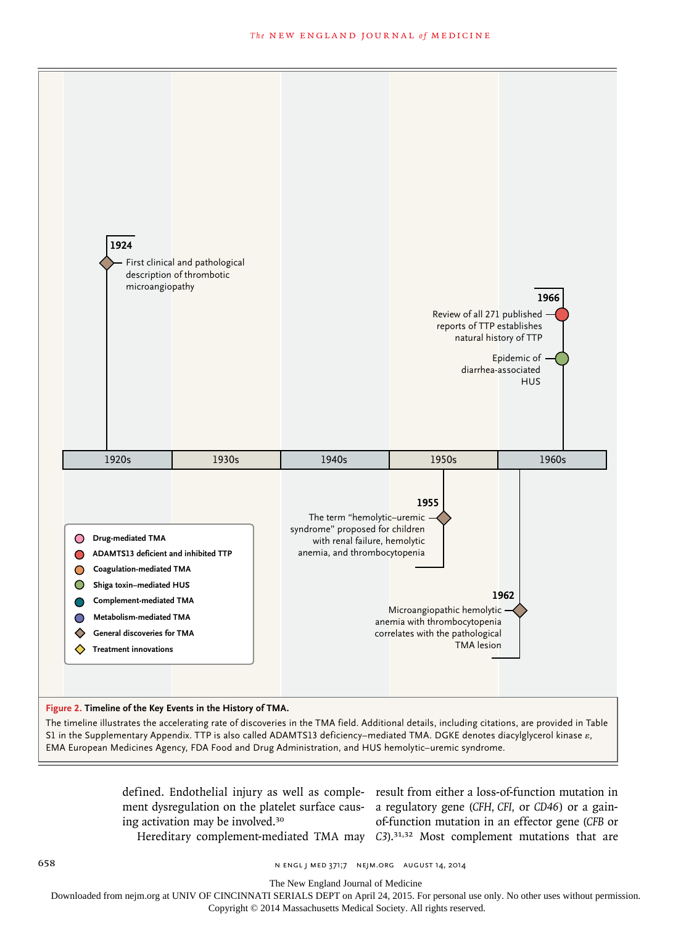

ing activation may be involved.<sup>30</sup>

defined. Endothelial injury as well as comple- result from either a loss-of-function mutation in ment dysregulation on the platelet surface caus- a regulatory gene (CFH, CFI, or CD46) or a gain-Hereditary complement-mediated TMA may C3).<sup>31,32</sup> Most complement mutations that are of-function mutation in an effector gene (CFB or

658 n engl j med 371;7 nejm.org august 14, 2014

The New England Journal of Medicine

Downloaded from nejm.org at UNIV OF CINCINNATI SERIALS DEPT on April 24, 2015. For personal use only. No other uses without permission.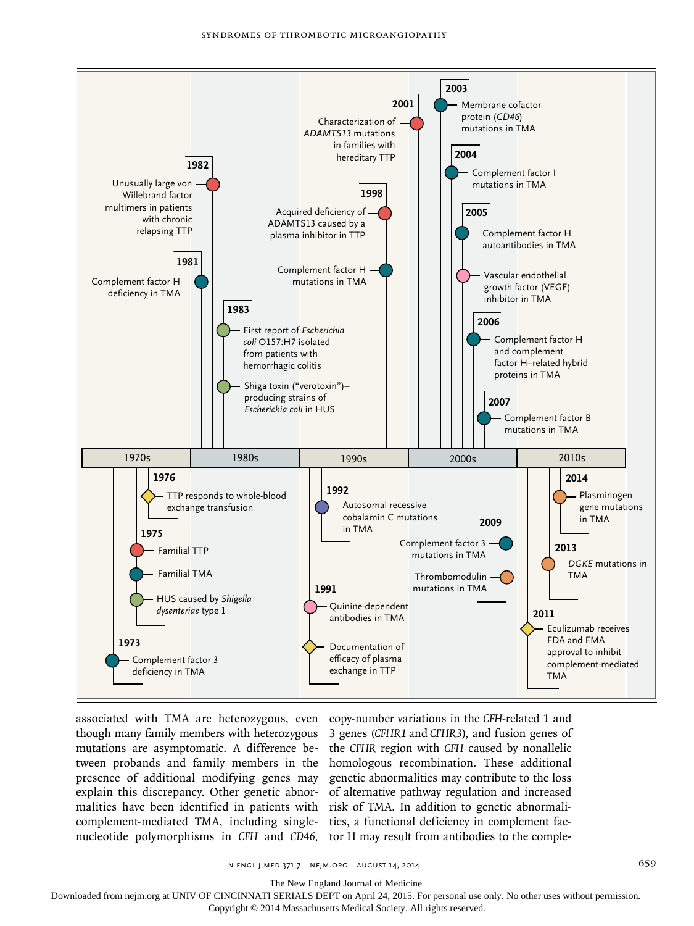

associated with TMA are heterozygous, even copy-number variations in the *CFH*-related 1 and though many family members with heterozygous 3 genes (*CFHR1* and *CFHR3*), and fusion genes of mutations are asymptomatic. A difference be- the CFHR region with CFH caused by nonallelic tween probands and family members in the homologous recombination. These additional presence of additional modifying genes may genetic abnormalities may contribute to the loss explain this discrepancy. Other genetic abnor- of alternative pathway regulation and increased engineering the anti-party, other generic abnormal or anti-matrix pathway regulation and increased<br>malities have been identified in patients with risk of TMA. In addition to genetic abnormalicomplement-mediated TMA, including single- ties, a functional deficiency in complement facnucleotide polymorphisms in *CFH* and *CD46*, tor H may result from antibodies to the comple-

 $\overline{a}$ 

n engl j med 371;7 nejm.org august 14, 2014 659

The New England Journal of Medicine

Downloaded from nejm.org at UNIV OF CINCINNATI SERIALS DEPT on April 24, 2015. For personal use only. No other uses without permission.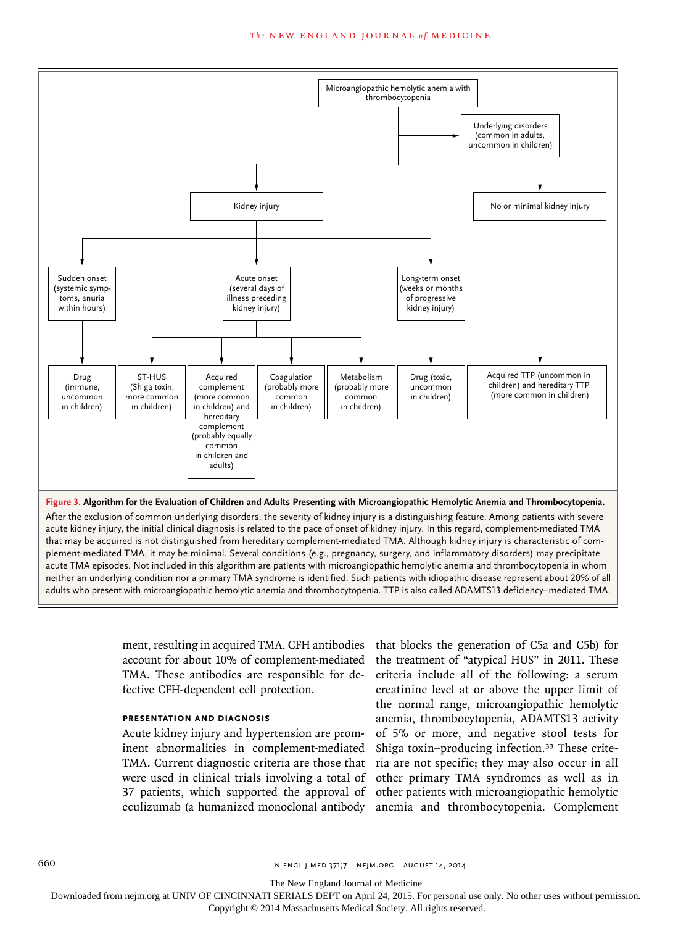#### **The NEW ENGLAND JOURNAL of MEDICINE**



acute kidney injury, the initial clinical diagnosis is related to the pace of onset of kidney injury. In this regard, complement-mediated TMA that may be acquired is not distinguished from hereditary complement-mediated TMA. Although kidney injury is characteristic of complement-mediated TMA, it may be minimal. Several conditions (e.g., pregnancy, surgery, and inflammatory disorders) may precipitate acute TMA episodes. Not included in this algorithm are patients with microangiopathic hemolytic anemia and thrombocytopenia in whom neither an underlying condition nor a primary TMA syndrome is identified. Such patients with idiopathic disease represent about 20% of all adults who present with microangiopathic hemolytic anemia and thrombocytopenia. TTP is also called ADAMTS13 deficiency–mediated TMA.

> ment, resulting in acquired TMA. CFH antibodies account for about 10% of complement-mediated TMA. These antibodies are responsible for defective CFH-dependent cell protection.

## **Presentation and Diagnosis**

Acute kidney injury and hypertension are prominent abnormalities in complement-mediated TMA. Current diagnostic criteria are those that were used in clinical trials involving a total of 37 patients, which supported the approval of eculizumab (a humanized monoclonal antibody

that blocks the generation of C5a and C5b) for the treatment of "atypical HUS" in 2011. These criteria include all of the following: a serum creatinine level at or above the upper limit of the normal range, microangiopathic hemolytic anemia, thrombocytopenia, ADAMTS13 activity of 5% or more, and negative stool tests for Shiga toxin–producing infection.33 These criteria are not specific; they may also occur in all other primary TMA syndromes as well as in other patients with microangiopathic hemolytic anemia and thrombocytopenia. Complement

660 n engl j med 371;7 nejm.org august 14, 2014

The New England Journal of Medicine

Downloaded from nejm.org at UNIV OF CINCINNATI SERIALS DEPT on April 24, 2015. For personal use only. No other uses without permission.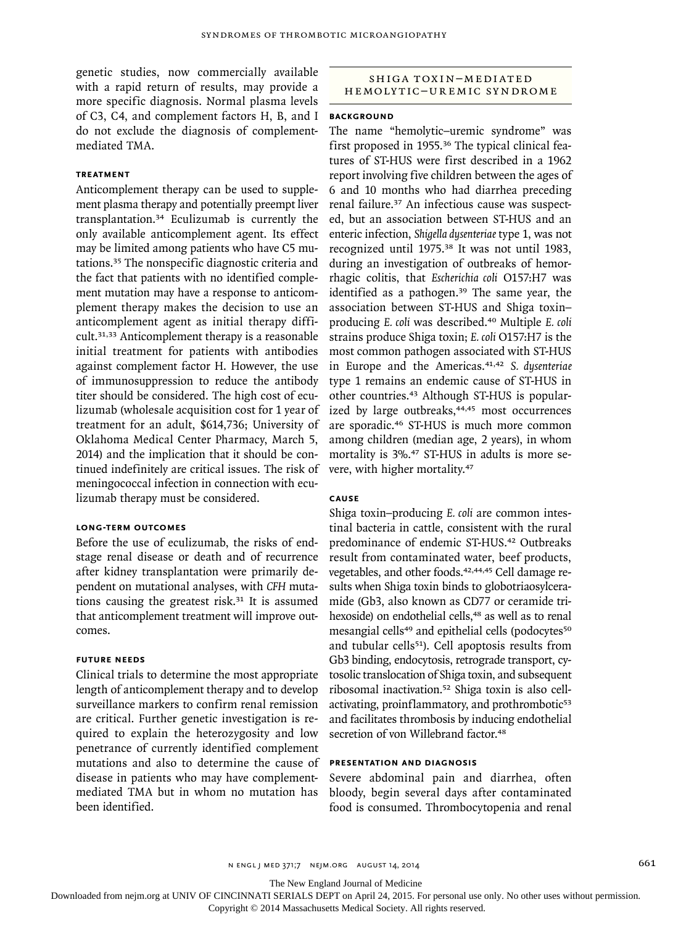genetic studies, now commercially available with a rapid return of results, may provide a more specific diagnosis. Normal plasma levels of C3, C4, and complement factors H, B, and I do not exclude the diagnosis of complementmediated TMA.

# **Treatment**

Anticomplement therapy can be used to supplement plasma therapy and potentially preempt liver transplantation.<sup>34</sup> Eculizumab is currently the only available anticomplement agent. Its effect may be limited among patients who have C5 mutations.<sup>35</sup> The nonspecific diagnostic criteria and the fact that patients with no identified complement mutation may have a response to anticomplement therapy makes the decision to use an anticomplement agent as initial therapy difficult.31,33 Anticomplement therapy is a reasonable initial treatment for patients with antibodies against complement factor H. However, the use of immunosuppression to reduce the antibody titer should be considered. The high cost of eculizumab (wholesale acquisition cost for 1 year of treatment for an adult, \$614,736; University of Oklahoma Medical Center Pharmacy, March 5, 2014) and the implication that it should be continued indefinitely are critical issues. The risk of meningococcal infection in connection with eculizumab therapy must be considered.

#### **Long-Term Outcomes**

Before the use of eculizumab, the risks of endstage renal disease or death and of recurrence after kidney transplantation were primarily dependent on mutational analyses, with *CFH* mutations causing the greatest risk. $31$  It is assumed that anticomplement treatment will improve outcomes.

## **Future Needs**

Clinical trials to determine the most appropriate length of anticomplement therapy and to develop surveillance markers to confirm renal remission are critical. Further genetic investigation is required to explain the heterozygosity and low penetrance of currently identified complement mutations and also to determine the cause of disease in patients who may have complementmediated TMA but in whom no mutation has been identified.

# SHIGA TOXIN-MEDIATED hemolytic–Uremic syndrome

#### **BACKGROUND**

The name "hemolytic–uremic syndrome" was first proposed in 1955.36 The typical clinical features of ST-HUS were first described in a 1962 report involving five children between the ages of 6 and 10 months who had diarrhea preceding renal failure.37 An infectious cause was suspected, but an association between ST-HUS and an enteric infection, *Shigella dysenteriae* type 1, was not recognized until 1975.<sup>38</sup> It was not until 1983, during an investigation of outbreaks of hemorrhagic colitis, that *Escherichia coli* O157:H7 was identified as a pathogen.<sup>39</sup> The same year, the association between ST-HUS and Shiga toxin– producing *E. coli* was described.<sup>40</sup> Multiple *E. coli* strains produce Shiga toxin; *E. coli* O157:H7 is the most common pathogen associated with ST-HUS in Europe and the Americas.41,42 *S. dysenteriae* type 1 remains an endemic cause of ST-HUS in other countries.43 Although ST-HUS is popularized by large outbreaks,<sup>44,45</sup> most occurrences are sporadic.<sup>46</sup> ST-HUS is much more common among children (median age, 2 years), in whom mortality is 3%.47 ST-HUS in adults is more severe, with higher mortality.<sup>47</sup>

# **Cause**

Shiga toxin–producing *E. coli* are common intestinal bacteria in cattle, consistent with the rural predominance of endemic ST-HUS.<sup>42</sup> Outbreaks result from contaminated water, beef products, vegetables, and other foods.<sup>42,44,45</sup> Cell damage results when Shiga toxin binds to globotriaosylceramide (Gb3, also known as CD77 or ceramide trihexoside) on endothelial cells,<sup>48</sup> as well as to renal mesangial cells<sup>49</sup> and epithelial cells (podocytes<sup>50</sup>) and tubular cells<sup>51</sup>). Cell apoptosis results from Gb3 binding, endocytosis, retrograde transport, cytosolic translocation of Shiga toxin, and subsequent ribosomal inactivation.52 Shiga toxin is also cellactivating, proinflammatory, and prothrombotic<sup>53</sup> and facilitates thrombosis by inducing endothelial secretion of von Willebrand factor.<sup>48</sup>

# **Presentation and Diagnosis**

Severe abdominal pain and diarrhea, often bloody, begin several days after contaminated food is consumed. Thrombocytopenia and renal

n engl j med 371;7 nejm.org august 14, 2014 661

The New England Journal of Medicine

Downloaded from nejm.org at UNIV OF CINCINNATI SERIALS DEPT on April 24, 2015. For personal use only. No other uses without permission.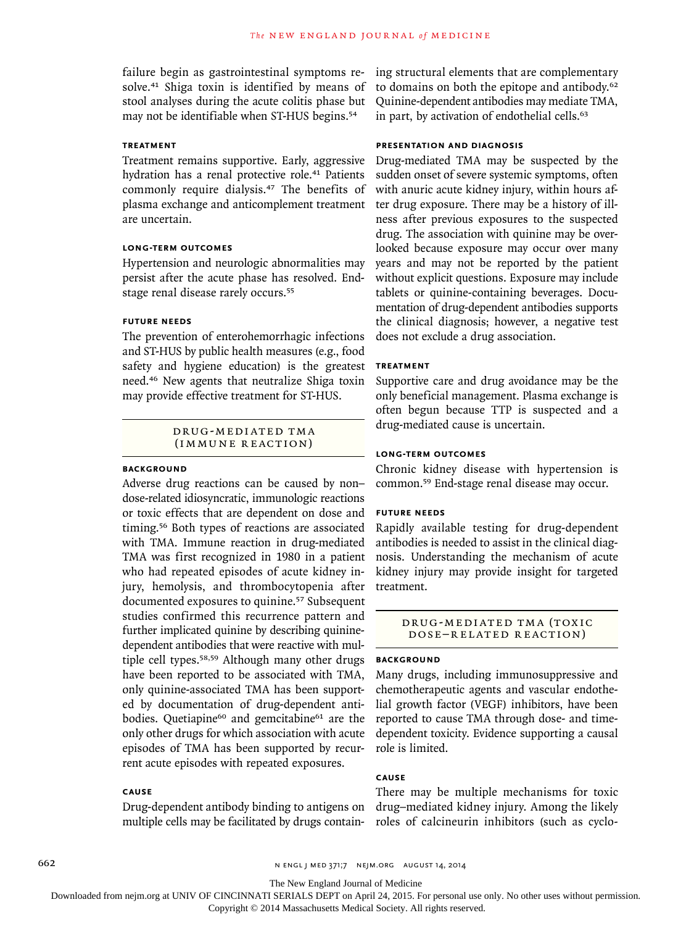failure begin as gastrointestinal symptoms resolve.<sup>41</sup> Shiga toxin is identified by means of stool analyses during the acute colitis phase but may not be identifiable when ST-HUS begins.<sup>54</sup>

# **Treatment**

Treatment remains supportive. Early, aggressive hydration has a renal protective role.<sup>41</sup> Patients commonly require dialysis.<sup>47</sup> The benefits of plasma exchange and anticomplement treatment are uncertain.

## **Long-Term Outcomes**

Hypertension and neurologic abnormalities may persist after the acute phase has resolved. Endstage renal disease rarely occurs.<sup>55</sup>

## **Future Needs**

The prevention of enterohemorrhagic infections and ST-HUS by public health measures (e.g., food safety and hygiene education) is the greatest need.46 New agents that neutralize Shiga toxin may provide effective treatment for ST-HUS.

# DRUG-MEDIATED TMA (immune reaction)

## **Background**

Adverse drug reactions can be caused by non– dose-related idiosyncratic, immunologic reactions or toxic effects that are dependent on dose and timing.56 Both types of reactions are associated with TMA. Immune reaction in drug-mediated TMA was first recognized in 1980 in a patient who had repeated episodes of acute kidney injury, hemolysis, and thrombocytopenia after documented exposures to quinine.<sup>57</sup> Subsequent studies confirmed this recurrence pattern and further implicated quinine by describing quininedependent antibodies that were reactive with multiple cell types.58,59 Although many other drugs have been reported to be associated with TMA, only quinine-associated TMA has been supported by documentation of drug-dependent antibodies. Quetiapine<sup>60</sup> and gemcitabine<sup>61</sup> are the only other drugs for which association with acute episodes of TMA has been supported by recurrent acute episodes with repeated exposures.

# **Cause**

Drug-dependent antibody binding to antigens on multiple cells may be facilitated by drugs contain-

ing structural elements that are complementary to domains on both the epitope and antibody.<sup>62</sup> Quinine-dependent antibodies may mediate TMA, in part, by activation of endothelial cells.<sup>63</sup>

## **Presentation and Diagnosis**

Drug-mediated TMA may be suspected by the sudden onset of severe systemic symptoms, often with anuric acute kidney injury, within hours after drug exposure. There may be a history of illness after previous exposures to the suspected drug. The association with quinine may be overlooked because exposure may occur over many years and may not be reported by the patient without explicit questions. Exposure may include tablets or quinine-containing beverages. Documentation of drug-dependent antibodies supports the clinical diagnosis; however, a negative test does not exclude a drug association.

# **Treatment**

Supportive care and drug avoidance may be the only beneficial management. Plasma exchange is often begun because TTP is suspected and a drug-mediated cause is uncertain.

## **Long-Term Outcomes**

Chronic kidney disease with hypertension is common.59 End-stage renal disease may occur.

## **Future Needs**

Rapidly available testing for drug-dependent antibodies is needed to assist in the clinical diagnosis. Understanding the mechanism of acute kidney injury may provide insight for targeted treatment.

> DRUG-MEDIATED TMA (TOXIC dose–related reaction)

#### **BACKGROUND**

Many drugs, including immunosuppressive and chemotherapeutic agents and vascular endothelial growth factor (VEGF) inhibitors, have been reported to cause TMA through dose- and timedependent toxicity. Evidence supporting a causal role is limited.

# **Cause**

There may be multiple mechanisms for toxic drug–mediated kidney injury. Among the likely roles of calcineurin inhibitors (such as cyclo-

The New England Journal of Medicine

Downloaded from nejm.org at UNIV OF CINCINNATI SERIALS DEPT on April 24, 2015. For personal use only. No other uses without permission.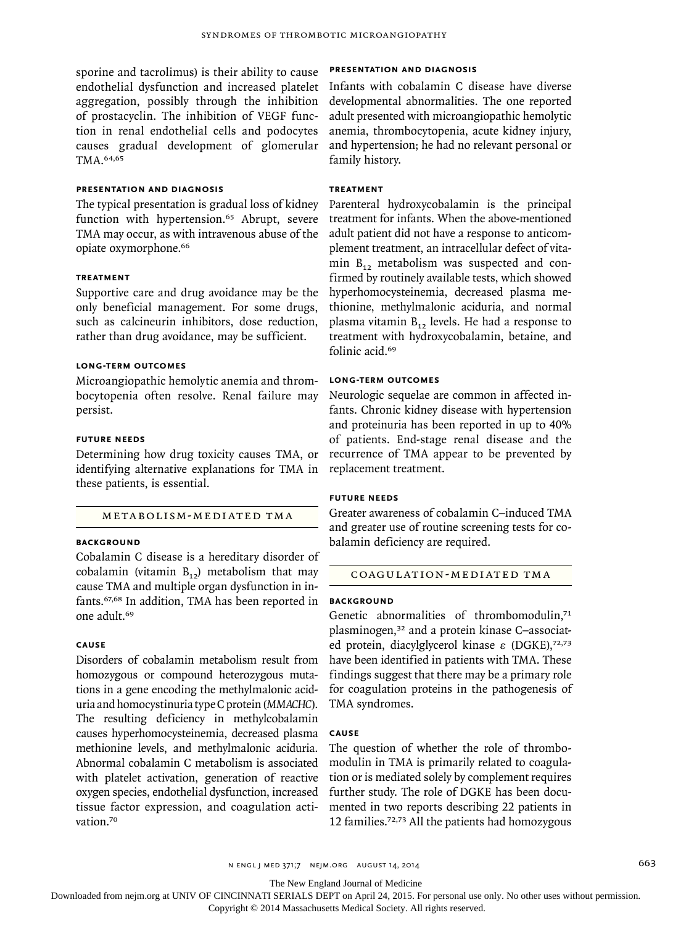sporine and tacrolimus) is their ability to cause endothelial dysfunction and increased platelet aggregation, possibly through the inhibition of prostacyclin. The inhibition of VEGF function in renal endothelial cells and podocytes causes gradual development of glomerular TMA.64,65

# **Presentation and Diagnosis**

The typical presentation is gradual loss of kidney function with hypertension.<sup>65</sup> Abrupt, severe TMA may occur, as with intravenous abuse of the opiate oxymorphone.<sup>66</sup>

#### **TREATMENT**

Supportive care and drug avoidance may be the only beneficial management. For some drugs, such as calcineurin inhibitors, dose reduction, rather than drug avoidance, may be sufficient.

## **Long-Term Outcomes**

Microangiopathic hemolytic anemia and thrombocytopenia often resolve. Renal failure may persist.

#### **Future Needs**

Determining how drug toxicity causes TMA, or identifying alternative explanations for TMA in these patients, is essential.

#### Metabolism-Mediated TMA

# **Background**

Cobalamin C disease is a hereditary disorder of cobalamin (vitamin  $B_{12}$ ) metabolism that may cause TMA and multiple organ dysfunction in infants.67,68 In addition, TMA has been reported in one adult.<sup>69</sup>

#### **Cause**

Disorders of cobalamin metabolism result from homozygous or compound heterozygous mutations in a gene encoding the methylmalonic aciduria and homocystinuria type C protein (*MMACHC*). The resulting deficiency in methylcobalamin causes hyperhomocysteinemia, decreased plasma methionine levels, and methylmalonic aciduria. Abnormal cobalamin C metabolism is associated with platelet activation, generation of reactive oxygen species, endothelial dysfunction, increased tissue factor expression, and coagulation activation.<sup>70</sup>

## **Presentation and Diagnosis**

Infants with cobalamin C disease have diverse developmental abnormalities. The one reported adult presented with microangiopathic hemolytic anemia, thrombocytopenia, acute kidney injury, and hypertension; he had no relevant personal or family history.

# **Treatment**

Parenteral hydroxycobalamin is the principal treatment for infants. When the above-mentioned adult patient did not have a response to anticomplement treatment, an intracellular defect of vitamin  $B_{12}$  metabolism was suspected and confirmed by routinely available tests, which showed hyperhomocysteinemia, decreased plasma methionine, methylmalonic aciduria, and normal plasma vitamin  $B_{12}$  levels. He had a response to treatment with hydroxycobalamin, betaine, and folinic acid.<sup>69</sup>

## **Long-Term Outcomes**

Neurologic sequelae are common in affected infants. Chronic kidney disease with hypertension and proteinuria has been reported in up to 40% of patients. End-stage renal disease and the recurrence of TMA appear to be prevented by replacement treatment.

# **Future Needs**

Greater awareness of cobalamin C–induced TMA and greater use of routine screening tests for cobalamin deficiency are required.

#### Coagulation-Mediated TMA

# **BACKGROUND**

Genetic abnormalities of thrombomodulin,<sup>71</sup> plasminogen,32 and a protein kinase C–associated protein, diacylglycerol kinase ε (DGKE),<sup>72,73</sup> have been identified in patients with TMA. These findings suggest that there may be a primary role for coagulation proteins in the pathogenesis of TMA syndromes.

# **Cause**

The question of whether the role of thrombomodulin in TMA is primarily related to coagulation or is mediated solely by complement requires further study. The role of DGKE has been documented in two reports describing 22 patients in 12 families.72,73 All the patients had homozygous

The New England Journal of Medicine

Downloaded from nejm.org at UNIV OF CINCINNATI SERIALS DEPT on April 24, 2015. For personal use only. No other uses without permission.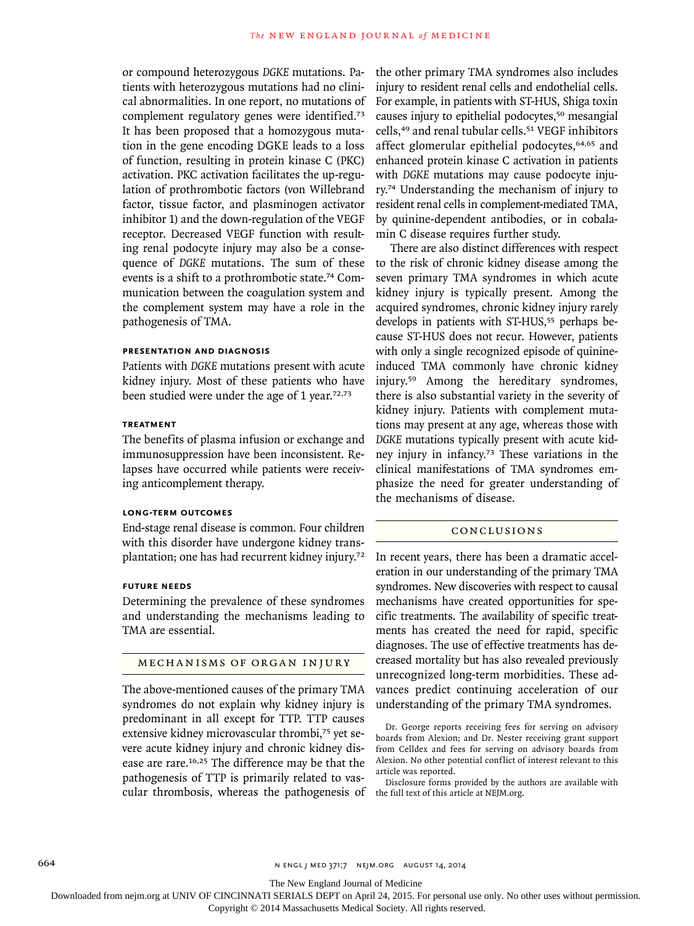or compound heterozygous *DGKE* mutations. Patients with heterozygous mutations had no clinical abnormalities. In one report, no mutations of complement regulatory genes were identified.<sup>73</sup> It has been proposed that a homozygous mutation in the gene encoding DGKE leads to a loss of function, resulting in protein kinase C (PKC) activation. PKC activation facilitates the up-regulation of prothrombotic factors (von Willebrand factor, tissue factor, and plasminogen activator inhibitor 1) and the down-regulation of the VEGF receptor. Decreased VEGF function with resulting renal podocyte injury may also be a consequence of *DGKE* mutations. The sum of these events is a shift to a prothrombotic state.74 Communication between the coagulation system and the complement system may have a role in the pathogenesis of TMA.

#### **Presentation and Diagnosis**

Patients with *DGKE* mutations present with acute kidney injury. Most of these patients who have been studied were under the age of 1 year.<sup>72,73</sup>

## **Treatment**

The benefits of plasma infusion or exchange and immunosuppression have been inconsistent. Relapses have occurred while patients were receiving anticomplement therapy.

## **Long-Term Outcomes**

End-stage renal disease is common. Four children with this disorder have undergone kidney transplantation; one has had recurrent kidney injury.<sup>72</sup>

## **Future Needs**

Determining the prevalence of these syndromes and understanding the mechanisms leading to TMA are essential.

## Mechanisms of Organ Injury

The above-mentioned causes of the primary TMA syndromes do not explain why kidney injury is predominant in all except for TTP. TTP causes extensive kidney microvascular thrombi,75 yet severe acute kidney injury and chronic kidney disease are rare.16,25 The difference may be that the pathogenesis of TTP is primarily related to vascular thrombosis, whereas the pathogenesis of

the other primary TMA syndromes also includes injury to resident renal cells and endothelial cells. For example, in patients with ST-HUS, Shiga toxin causes injury to epithelial podocytes,<sup>50</sup> mesangial cells,<sup>49</sup> and renal tubular cells.<sup>51</sup> VEGF inhibitors affect glomerular epithelial podocytes,<sup>64,65</sup> and enhanced protein kinase C activation in patients with *DGKE* mutations may cause podocyte injury.<sup>74</sup> Understanding the mechanism of injury to resident renal cells in complement-mediated TMA, by quinine-dependent antibodies, or in cobalamin C disease requires further study.

There are also distinct differences with respect to the risk of chronic kidney disease among the seven primary TMA syndromes in which acute kidney injury is typically present. Among the acquired syndromes, chronic kidney injury rarely develops in patients with ST-HUS,<sup>55</sup> perhaps because ST-HUS does not recur. However, patients with only a single recognized episode of quinineinduced TMA commonly have chronic kidney injury.59 Among the hereditary syndromes, there is also substantial variety in the severity of kidney injury. Patients with complement mutations may present at any age, whereas those with *DGKE* mutations typically present with acute kidney injury in infancy.73 These variations in the clinical manifestations of TMA syndromes emphasize the need for greater understanding of the mechanisms of disease.

#### Conclusions

In recent years, there has been a dramatic acceleration in our understanding of the primary TMA syndromes. New discoveries with respect to causal mechanisms have created opportunities for specific treatments. The availability of specific treatments has created the need for rapid, specific diagnoses. The use of effective treatments has decreased mortality but has also revealed previously unrecognized long-term morbidities. These advances predict continuing acceleration of our understanding of the primary TMA syndromes.

The New England Journal of Medicine

Downloaded from nejm.org at UNIV OF CINCINNATI SERIALS DEPT on April 24, 2015. For personal use only. No other uses without permission.

Dr. George reports receiving fees for serving on advisory boards from Alexion; and Dr. Nester receiving grant support from Celldex and fees for serving on advisory boards from Alexion. No other potential conflict of interest relevant to this article was reported.

Disclosure forms provided by the authors are available with the full text of this article at NEJM.org.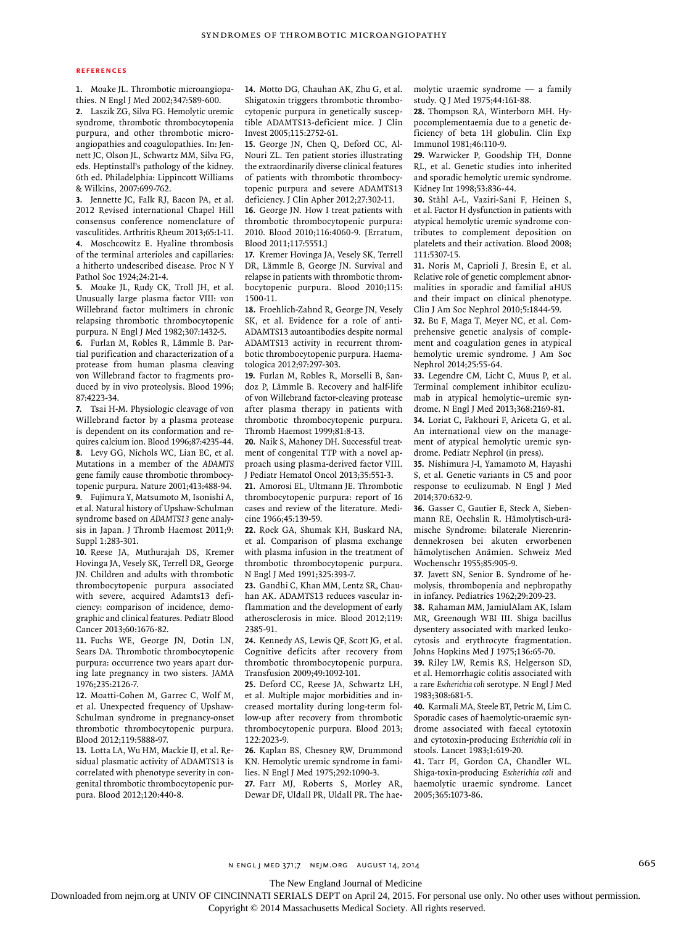#### **References**

**1.** Moake JL. Thrombotic microangiopathies. N Engl J Med 2002;347:589-600.

**2.** Laszik ZG, Silva FG. Hemolytic uremic syndrome, thrombotic thrombocytopenia purpura, and other thrombotic microangiopathies and coagulopathies. In: Jennett JC, Olson JL, Schwartz MM, Silva FG, eds. Heptinstall's pathology of the kidney. 6th ed. Philadelphia: Lippincott Williams & Wilkins, 2007:699-762.

**3.** Jennette JC, Falk RJ, Bacon PA, et al. 2012 Revised international Chapel Hill consensus conference nomenclature of vasculitides. Arthritis Rheum 2013;65:1-11. **4.** Moschcowitz E. Hyaline thrombosis of the terminal arterioles and capillaries: a hitherto undescribed disease. Proc N Y Pathol Soc 1924;24:21-4.

**5.** Moake JL, Rudy CK, Troll JH, et al. Unusually large plasma factor VIII: von Willebrand factor multimers in chronic relapsing thrombotic thrombocytopenic purpura. N Engl J Med 1982;307:1432-5.

**6.** Furlan M, Robles R, Lämmle B. Partial purification and characterization of a protease from human plasma cleaving von Willebrand factor to fragments produced by in vivo proteolysis. Blood 1996; 87:4223-34.

**7.** Tsai H-M. Physiologic cleavage of von Willebrand factor by a plasma protease is dependent on its conformation and requires calcium ion. Blood 1996;87:4235-44. **8.** Levy GG, Nichols WC, Lian EC, et al. Mutations in a member of the *ADAMTS* gene family cause thrombotic thrombocytopenic purpura. Nature 2001;413:488-94.

**9.** Fujimura Y, Matsumoto M, Isonishi A, et al. Natural history of Upshaw-Schulman syndrome based on *ADAMTS13* gene analysis in Japan. J Thromb Haemost 2011;9: Suppl 1:283-301.

**10.** Reese JA, Muthurajah DS, Kremer Hovinga JA, Vesely SK, Terrell DR, George JN. Children and adults with thrombotic thrombocytopenic purpura associated with severe, acquired Adamts13 deficiency: comparison of incidence, demographic and clinical features. Pediatr Blood Cancer 2013;60:1676-82.

**11.** Fuchs WE, George JN, Dotin LN, Sears DA. Thrombotic thrombocytopenic purpura: occurrence two years apart during late pregnancy in two sisters. JAMA 1976;235:2126-7.

**12.** Moatti-Cohen M, Garrec C, Wolf M, et al. Unexpected frequency of Upshaw-Schulman syndrome in pregnancy-onset thrombotic thrombocytopenic purpura. Blood 2012;119:5888-97.

**13.** Lotta LA, Wu HM, Mackie IJ, et al. Residual plasmatic activity of ADAMTS13 is correlated with phenotype severity in congenital thrombotic thrombocytopenic purpura. Blood 2012;120:440-8.

**14.** Motto DG, Chauhan AK, Zhu G, et al. Shigatoxin triggers thrombotic thrombocytopenic purpura in genetically susceptible ADAMTS13-deficient mice. J Clin Invest 2005;115:2752-61.

**15.** George JN, Chen Q, Deford CC, Al-Nouri ZL. Ten patient stories illustrating the extraordinarily diverse clinical features of patients with thrombotic thrombocytopenic purpura and severe ADAMTS13 deficiency. J Clin Apher 2012;27:302-11.

**16.** George JN. How I treat patients with thrombotic thrombocytopenic purpura: 2010. Blood 2010;116:4060-9. [Erratum, Blood 2011;117:5551.]

**17.** Kremer Hovinga JA, Vesely SK, Terrell DR, Lämmle B, George JN. Survival and relapse in patients with thrombotic thrombocytopenic purpura. Blood 2010;115: 1500-11.

**18.** Froehlich-Zahnd R, George JN, Vesely SK, et al. Evidence for a role of anti-ADAMTS13 autoantibodies despite normal ADAMTS13 activity in recurrent thrombotic thrombocytopenic purpura. Haematologica 2012;97:297-303.

**19.** Furlan M, Robles R, Morselli B, Sandoz P, Lämmle B. Recovery and half-life of von Willebrand factor-cleaving protease after plasma therapy in patients with thrombotic thrombocytopenic purpura. Thromb Haemost 1999;81:8-13.

**20.** Naik S, Mahoney DH. Successful treatment of congenital TTP with a novel approach using plasma-derived factor VIII. J Pediatr Hematol Oncol 2013;35:551-3.

**21.** Amorosi EL, Ultmann JE. Thrombotic thrombocytopenic purpura: report of 16 cases and review of the literature. Medicine 1966;45:139-59.

**22.** Rock GA, Shumak KH, Buskard NA, et al. Comparison of plasma exchange with plasma infusion in the treatment of thrombotic thrombocytopenic purpura. N Engl J Med 1991;325:393-7.

**23.** Gandhi C, Khan MM, Lentz SR, Chauhan AK. ADAMTS13 reduces vascular inflammation and the development of early atherosclerosis in mice. Blood 2012;119: 2385-91.

**24.** Kennedy AS, Lewis QF, Scott JG, et al. Cognitive deficits after recovery from thrombotic thrombocytopenic purpura. Transfusion 2009;49:1092-101.

**25.** Deford CC, Reese JA, Schwartz LH, et al. Multiple major morbidities and increased mortality during long-term follow-up after recovery from thrombotic thrombocytopenic purpura. Blood 2013; 122:2023-9.

**26.** Kaplan BS, Chesney RW, Drummond KN. Hemolytic uremic syndrome in families. N Engl J Med 1975;292:1090-3.

**27.** Farr MJ, Roberts S, Morley AR, Dewar DF, Uldall PR, Uldall PR. The haemolytic uraemic syndrome — a family study. Q J Med 1975;44:161-88.

**28.** Thompson RA, Winterborn MH. Hypocomplementaemia due to a genetic deficiency of beta 1H globulin. Clin Exp Immunol 1981;46:110-9.

**29.** Warwicker P, Goodship TH, Donne RL, et al. Genetic studies into inherited and sporadic hemolytic uremic syndrome. Kidney Int 1998;53:836-44.

**30.** Ståhl A-L, Vaziri-Sani F, Heinen S, et al. Factor H dysfunction in patients with atypical hemolytic uremic syndrome contributes to complement deposition on platelets and their activation. Blood 2008; 111:5307-15.

**31.** Noris M, Caprioli J, Bresin E, et al. Relative role of genetic complement abnormalities in sporadic and familial aHUS and their impact on clinical phenotype. Clin J Am Soc Nephrol 2010;5:1844-59.

**32.** Bu F, Maga T, Meyer NC, et al. Comprehensive genetic analysis of complement and coagulation genes in atypical hemolytic uremic syndrome. J Am Soc Nephrol 2014;25:55-64.

**33.** Legendre CM, Licht C, Muus P, et al. Terminal complement inhibitor eculizumab in atypical hemolytic–uremic syndrome. N Engl J Med 2013;368:2169-81.

**34.** Loriat C, Fakhouri F, Ariceta G, et al. An international view on the management of atypical hemolytic uremic syndrome. Pediatr Nephrol (in press).

**35.** Nishimura J-I, Yamamoto M, Hayashi S, et al. Genetic variants in C5 and poor response to eculizumab. N Engl J Med 2014;370:632-9.

**36.** Gasser C, Gautier E, Steck A, Siebenmann RE, Oechslin R. Hämolytisch-urämische Syndrome: bilaterale Nierenrindennekrosen bei akuten erworbenen hämolytischen Anämien. Schweiz Med Wochenschr 1955;85:905-9.

**37.** Javett SN, Senior B. Syndrome of hemolysis, thrombopenia and nephropathy in infancy. Pediatrics 1962;29:209-23.

**38.** Rahaman MM, JamiulAlam AK, Islam MR, Greenough WBI III. Shiga bacillus dysentery associated with marked leukocytosis and erythrocyte fragmentation. Johns Hopkins Med J 1975;136:65-70.

**39.** Riley LW, Remis RS, Helgerson SD, et al. Hemorrhagic colitis associated with a rare *Escherichia coli* serotype. N Engl J Med 1983;308:681-5.

**40.** Karmali MA, Steele BT, Petric M, Lim C. Sporadic cases of haemolytic-uraemic syndrome associated with faecal cytotoxin and cytotoxin-producing *Escherichia coli* in stools. Lancet 1983;1:619-20.

**41.** Tarr PI, Gordon CA, Chandler WL. Shiga-toxin-producing *Escherichia coli* and haemolytic uraemic syndrome. Lancet 2005;365:1073-86.

n engl j med 371;7 nejm.org august 14, 2014 665

The New England Journal of Medicine

Downloaded from nejm.org at UNIV OF CINCINNATI SERIALS DEPT on April 24, 2015. For personal use only. No other uses without permission.